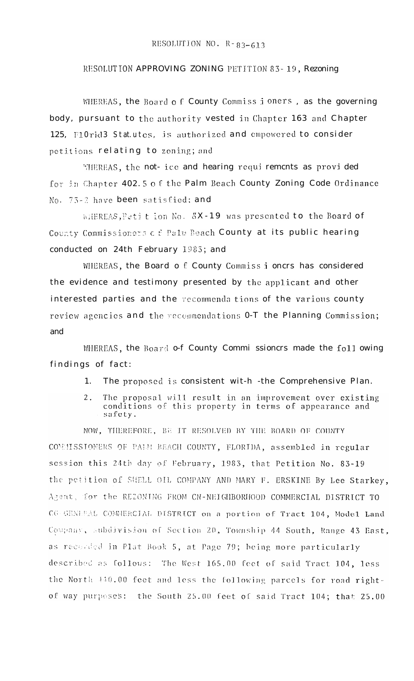## RESOLUTION NO.  $R - 83 - 613$

## RESOLUTION APPROVING ZONING PETITION 83-19, Rezoning

WHEREAS, the Board of County Commiss i oners, as the governing body, pursuant to the authority vested in Chapter 163 and Chapter 125, F10rid3 Statutes, is authorized and empowered to consider petitions relating to zoning; and

MIEREAS, the not- ice and hearing requi rements as provi ded for in Chapter 402.5 of the Palm Beach County Zoning Code Ordinance No. 73-2 have been satisfied; and

WHEREAS, Petition No. 5X-19 was presented to the Board of County Commissioners of Palm Beach County at its public hearing conducted on 24th February 1983; and

WHEREAS, the Board of County Commiss i oncrs has considered the evidence and testimony presented by the applicant and other interested parties and the recommenda tions of the various county review agencies and the recommendations 0-T the Planning Commission; and

WHEREAS, the Board o-f County Commi ssioncrs made the foll owing findings of fact:

- The proposed is consistent wit-h -the Comprehensive Plan.  $1.$
- $2.$ The proposal will result in an improvement over existing conditions of this property in terms of appearance and safety.

NOW, THEREFORE, BE IT RESOLVED BY THE BOARD OF COUNTY COMMISSIONERS OF PAIM BEACH COUNTY, FLORIDA, assembled in regular session this 24th day of February, 1983, that Petition No. 83-19 the petition of SUELL OIL COMPANY AND MARY F. ERSKINE By Lee Starkey, Agent, for the REZONING FROM CN-NEIGHBORHOOD COMMERCIAL DISTRICT TO CG-GENEEAL COMMERCIAL DISTRICT on a portion of Tract 104, Model Land Company, subdivision of Section 20, Township 44 South, Range 43 East, as recorded in Plat Book 5, at Page 79; being more particularly described as follows: The West 165.00 feet of said Tract 104, less the North 440.00 feet and less the following parcels for road rightof way purposes: the South 25.00 feet of said Tract 104; that 25.00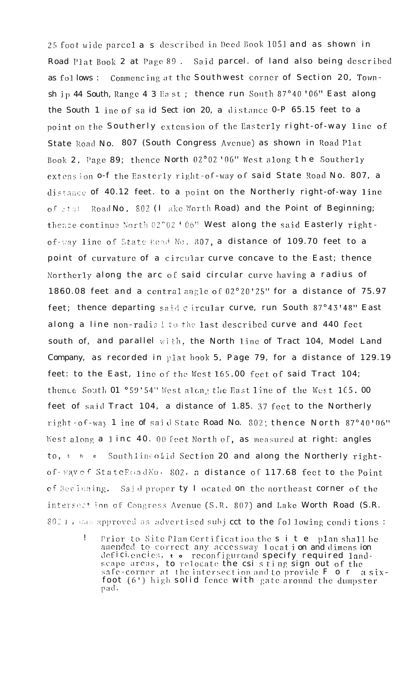25 foot wide parcel a s described in Deed Book 1051 and as shown in Road Plat Book 2 at Page 89. Said parcel, of land also being described as follows: Commencing at the Southwest corner of Section 20, Townsh ip 44 South, Range 4 3 East; thence run South 87°40'06" East along the South 1 ine of said Sect ion 20, a distance 0-P 65.15 feet to a point on the Southerly extension of the Easterly right-of-way line of State Road No. 807 (South Congress Avenue) as shown in Road Plat Book 2, Page 89; thence North 02°02'06" West along the Southerly extension o-f the Easterly right-of-way of said State Road No. 807, a distance of 40.12 feet, to a point on the Northerly right-of-way line of state Road No, 802 (I ake Worth Road) and the Point of Beginning; thence continue North 02°02'06" West along the said Easterly rightof-way line of State Road No. 807, a distance of 109.70 feet to a point of curvature of a circular curve concave to the East; thence Northerly along the arc of said circular curve having a radius of 1860.08 feet and a central angle of 02°20'25" for a distance of 75.97 feet; thence departing said c ircular curve, run South 87°43'48" East along a line non-radial to the last described curve and 440 feet south of, and parallel with, the North line of Tract 104, Model Land Company, as recorded in plat book 5, Page 79, for a distance of 129.19 feet: to the East, line of the West 165.00 feet of said Tract 104; thence South 01 °59'54" West along the East line of the West 165.00 feet of said Tract 104, a distance of 1.85. 37 feet to the Northerly right-of-way 1 ine of said State Road No. 802; thence North 87°40'06" West along a linc 40. 00 feet North of, as measured at right: angles to, the Southline ofid Section 20 and along the Northerly rightof-way of StateReadNo. 802, a distance of 117.68 feet to the Point of Beginning. Said proper ty I ocated on the northeast corner of the intersect ion of Congress Avenue (S.R. 807) and Lake Worth Road (S.R. 802), was approved as advertised subject to the following conditions:

 $\mathbf{I}$ Prior to Site Plan Certification the s i t e plan shall be amended to correct any accessway location and dimension<br>deficiencies,  $\frac{1}{100}$  reconfigureand specify required landscape areas, to relocate the csi sting sign out of the<br>safe-corner at the intersection and to provide F o r a six-<br>foot (6') high solid fence with gate around the dumpster pad.